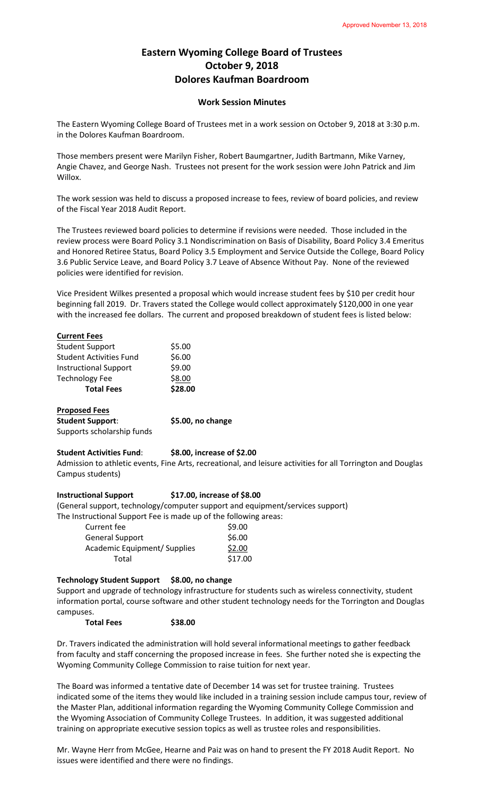# **Eastern Wyoming College Board of Trustees October 9, 2018 Dolores Kaufman Boardroom**

# **Work Session Minutes**

The Eastern Wyoming College Board of Trustees met in a work session on October 9, 2018 at 3:30 p.m. in the Dolores Kaufman Boardroom.

Those members present were Marilyn Fisher, Robert Baumgartner, Judith Bartmann, Mike Varney, Angie Chavez, and George Nash. Trustees not present for the work session were John Patrick and Jim Willox.

The work session was held to discuss a proposed increase to fees, review of board policies, and review of the Fiscal Year 2018 Audit Report.

The Trustees reviewed board policies to determine if revisions were needed. Those included in the review process were Board Policy 3.1 Nondiscrimination on Basis of Disability, Board Policy 3.4 Emeritus and Honored Retiree Status, Board Policy 3.5 Employment and Service Outside the College, Board Policy 3.6 Public Service Leave, and Board Policy 3.7 Leave of Absence Without Pay. None of the reviewed policies were identified for revision.

Vice President Wilkes presented a proposal which would increase student fees by \$10 per credit hour beginning fall 2019. Dr. Travers stated the College would collect approximately \$120,000 in one year with the increased fee dollars. The current and proposed breakdown of student fees is listed below:

| <b>Current Fees</b>            |         |
|--------------------------------|---------|
| <b>Student Support</b>         | \$5.00  |
| <b>Student Activities Fund</b> | \$6.00  |
| <b>Instructional Support</b>   | \$9.00  |
| <b>Technology Fee</b>          | \$8.00  |
| <b>Total Fees</b>              | \$28.00 |

**Proposed Fees Student Support**: **\$5.00, no change** Supports scholarship funds

# **Student Activities Fund**: **\$8.00, increase of \$2.00**

Admission to athletic events, Fine Arts, recreational, and leisure activities for all Torrington and Douglas Campus students)

#### **Instructional Support \$17.00, increase of \$8.00**

(General support, technology/computer support and equipment/services support)

The Instructional Support Fee is made up of the following areas:

| Current fee                  | \$9.00  |
|------------------------------|---------|
| <b>General Support</b>       | \$6.00  |
| Academic Equipment/ Supplies | \$2.00  |
| Total                        | \$17.00 |

#### **Technology Student Support \$8.00, no change**

Support and upgrade of technology infrastructure for students such as wireless connectivity, student information portal, course software and other student technology needs for the Torrington and Douglas campuses.

**Total Fees \$38.00**

Dr. Travers indicated the administration will hold several informational meetings to gather feedback from faculty and staff concerning the proposed increase in fees. She further noted she is expecting the Wyoming Community College Commission to raise tuition for next year.

The Board was informed a tentative date of December 14 was set for trustee training. Trustees indicated some of the items they would like included in a training session include campus tour, review of the Master Plan, additional information regarding the Wyoming Community College Commission and the Wyoming Association of Community College Trustees. In addition, it was suggested additional training on appropriate executive session topics as well as trustee roles and responsibilities.

Mr. Wayne Herr from McGee, Hearne and Paiz was on hand to present the FY 2018 Audit Report. No issues were identified and there were no findings.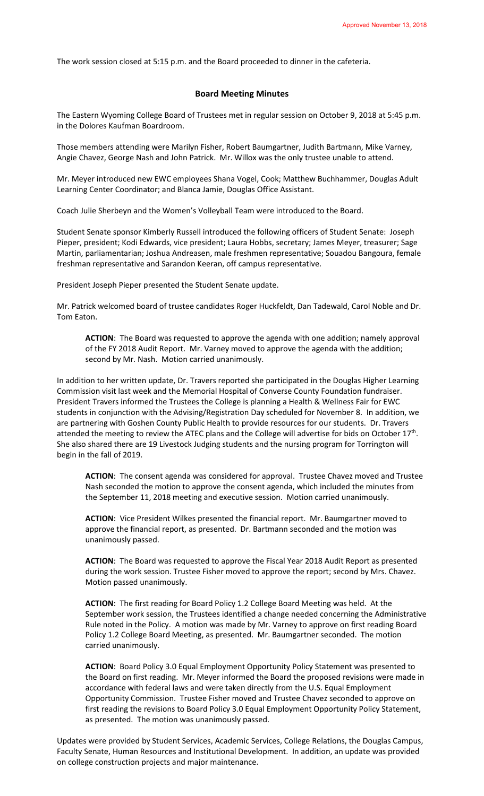The work session closed at 5:15 p.m. and the Board proceeded to dinner in the cafeteria.

# **Board Meeting Minutes**

The Eastern Wyoming College Board of Trustees met in regular session on October 9, 2018 at 5:45 p.m. in the Dolores Kaufman Boardroom.

Those members attending were Marilyn Fisher, Robert Baumgartner, Judith Bartmann, Mike Varney, Angie Chavez, George Nash and John Patrick. Mr. Willox was the only trustee unable to attend.

Mr. Meyer introduced new EWC employees Shana Vogel, Cook; Matthew Buchhammer, Douglas Adult Learning Center Coordinator; and Blanca Jamie, Douglas Office Assistant.

Coach Julie Sherbeyn and the Women's Volleyball Team were introduced to the Board.

Student Senate sponsor Kimberly Russell introduced the following officers of Student Senate: Joseph Pieper, president; Kodi Edwards, vice president; Laura Hobbs, secretary; James Meyer, treasurer; Sage Martin, parliamentarian; Joshua Andreasen, male freshmen representative; Souadou Bangoura, female freshman representative and Sarandon Keeran, off campus representative.

President Joseph Pieper presented the Student Senate update.

Mr. Patrick welcomed board of trustee candidates Roger Huckfeldt, Dan Tadewald, Carol Noble and Dr. Tom Eaton.

**ACTION**: The Board was requested to approve the agenda with one addition; namely approval of the FY 2018 Audit Report. Mr. Varney moved to approve the agenda with the addition; second by Mr. Nash. Motion carried unanimously.

In addition to her written update, Dr. Travers reported she participated in the Douglas Higher Learning Commission visit last week and the Memorial Hospital of Converse County Foundation fundraiser. President Travers informed the Trustees the College is planning a Health & Wellness Fair for EWC students in conjunction with the Advising/Registration Day scheduled for November 8. In addition, we are partnering with Goshen County Public Health to provide resources for our students. Dr. Travers attended the meeting to review the ATEC plans and the College will advertise for bids on October 17<sup>th</sup>. She also shared there are 19 Livestock Judging students and the nursing program for Torrington will begin in the fall of 2019.

**ACTION**: The consent agenda was considered for approval. Trustee Chavez moved and Trustee Nash seconded the motion to approve the consent agenda, which included the minutes from the September 11, 2018 meeting and executive session. Motion carried unanimously.

**ACTION**: Vice President Wilkes presented the financial report. Mr. Baumgartner moved to approve the financial report, as presented. Dr. Bartmann seconded and the motion was unanimously passed.

**ACTION**: The Board was requested to approve the Fiscal Year 2018 Audit Report as presented during the work session. Trustee Fisher moved to approve the report; second by Mrs. Chavez. Motion passed unanimously.

**ACTION**: The first reading for Board Policy 1.2 College Board Meeting was held. At the September work session, the Trustees identified a change needed concerning the Administrative Rule noted in the Policy. A motion was made by Mr. Varney to approve on first reading Board Policy 1.2 College Board Meeting, as presented. Mr. Baumgartner seconded. The motion carried unanimously.

**ACTION**: Board Policy 3.0 Equal Employment Opportunity Policy Statement was presented to the Board on first reading. Mr. Meyer informed the Board the proposed revisions were made in accordance with federal laws and were taken directly from the U.S. Equal Employment Opportunity Commission. Trustee Fisher moved and Trustee Chavez seconded to approve on first reading the revisions to Board Policy 3.0 Equal Employment Opportunity Policy Statement, as presented. The motion was unanimously passed.

Updates were provided by Student Services, Academic Services, College Relations, the Douglas Campus, Faculty Senate, Human Resources and Institutional Development. In addition, an update was provided on college construction projects and major maintenance.